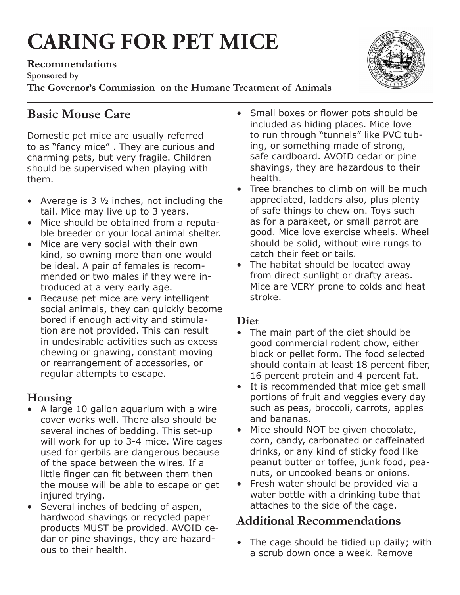# **CARING FOR PET MICE**

**Recommendations Sponsored by The Governor's Commission on the Humane Treatment of Animals**

# **Basic Mouse Care**

Domestic pet mice are usually referred to as "fancy mice" . They are curious and charming pets, but very fragile. Children should be supervised when playing with them.

- Average is 3 1/2 inches, not including the tail. Mice may live up to 3 years.
- Mice should be obtained from a reputable breeder or your local animal shelter.
- Mice are very social with their own kind, so owning more than one would be ideal. A pair of females is recommended or two males if they were introduced at a very early age.
- Because pet mice are very intelligent social animals, they can quickly become bored if enough activity and stimulation are not provided. This can result in undesirable activities such as excess chewing or gnawing, constant moving or rearrangement of accessories, or regular attempts to escape.

## **Housing**

- • A large 10 gallon aquarium with a wire cover works well. There also should be several inches of bedding. This set-up will work for up to 3-4 mice. Wire cages used for gerbils are dangerous because of the space between the wires. If a little finger can fit between them then the mouse will be able to escape or get injured trying.
- Several inches of bedding of aspen, hardwood shavings or recycled paper products MUST be provided. AVOID cedar or pine shavings, they are hazardous to their health.
- Small boxes or flower pots should be included as hiding places. Mice love to run through "tunnels" like PVC tubing, or something made of strong, safe cardboard. AVOID cedar or pine shavings, they are hazardous to their health.
- Tree branches to climb on will be much appreciated, ladders also, plus plenty of safe things to chew on. Toys such as for a parakeet, or small parrot are good. Mice love exercise wheels. Wheel should be solid, without wire rungs to catch their feet or tails.
- The habitat should be located away from direct sunlight or drafty areas. Mice are VERY prone to colds and heat stroke.

## **Diet**

- The main part of the diet should be good commercial rodent chow, either block or pellet form. The food selected should contain at least 18 percent fiber, 16 percent protein and 4 percent fat.
- • It is recommended that mice get small portions of fruit and veggies every day such as peas, broccoli, carrots, apples and bananas.
- Mice should NOT be given chocolate, corn, candy, carbonated or caffeinated drinks, or any kind of sticky food like peanut butter or toffee, junk food, peanuts, or uncooked beans or onions.
- Fresh water should be provided via a water bottle with a drinking tube that attaches to the side of the cage.

## **Additional Recommendations**

• The cage should be tidied up daily; with a scrub down once a week. Remove